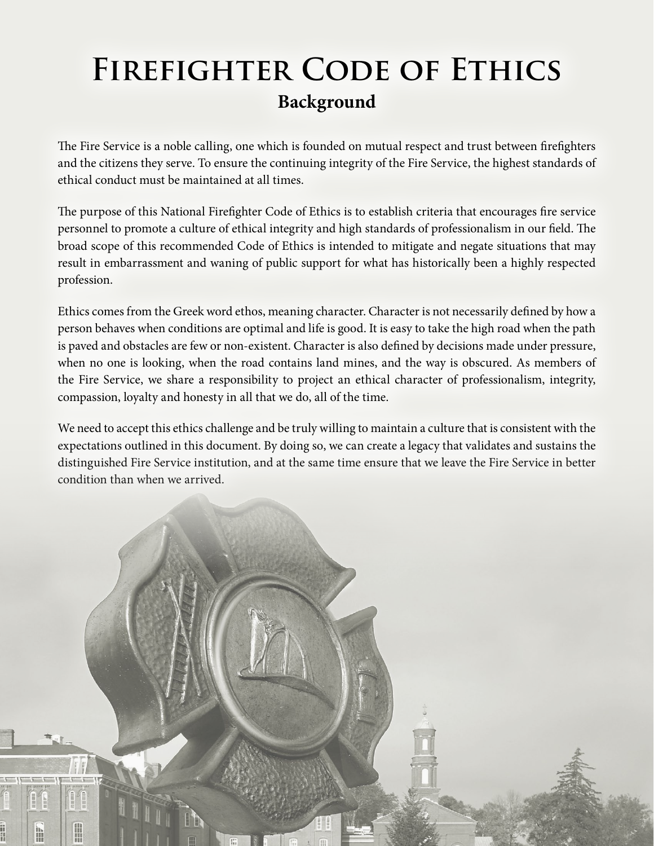## **Firefighter Code of Ethics Background**

The Fire Service is a noble calling, one which is founded on mutual respect and trust between firefighters and the citizens they serve. To ensure the continuing integrity of the Fire Service, the highest standards of ethical conduct must be maintained at all times.

The purpose of this National Firefighter Code of Ethics is to establish criteria that encourages fire service personnel to promote a culture of ethical integrity and high standards of professionalism in our field. The broad scope of this recommended Code of Ethics is intended to mitigate and negate situations that may result in embarrassment and waning of public support for what has historically been a highly respected profession.

Ethics comes from the Greek word ethos, meaning character. Character is not necessarily defined by how a person behaves when conditions are optimal and life is good. It is easy to take the high road when the path is paved and obstacles are few or non-existent. Character is also defined by decisions made under pressure, when no one is looking, when the road contains land mines, and the way is obscured. As members of the Fire Service, we share a responsibility to project an ethical character of professionalism, integrity, compassion, loyalty and honesty in all that we do, all of the time.

We need to accept this ethics challenge and be truly willing to maintain a culture that is consistent with the expectations outlined in this document. By doing so, we can create a legacy that validates and sustains the distinguished Fire Service institution, and at the same time ensure that we leave the Fire Service in better condition than when we arrived.